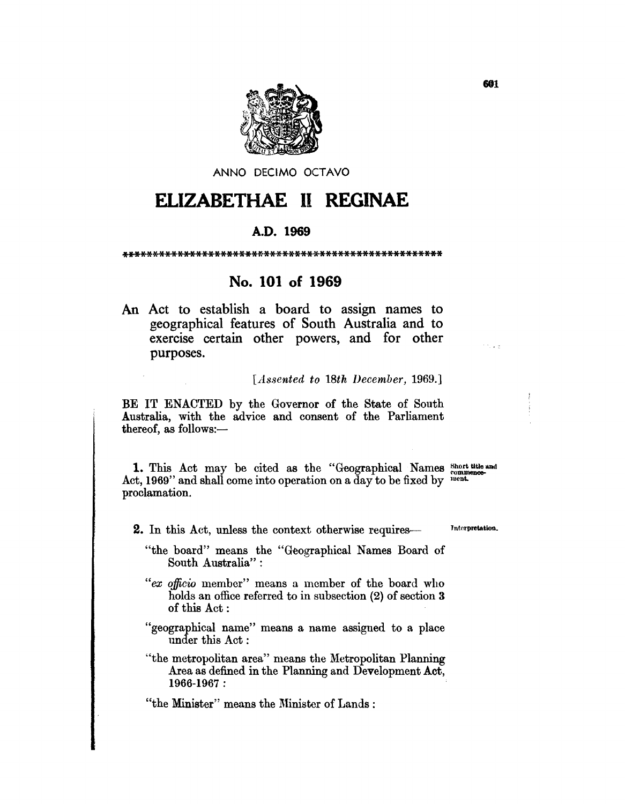

ANNO DECIMO OCTAVO

# **ELIZABETHAE 11 REGINAE**

### A.D. 1969

\*\*\*\*\*\*\*\*\*\*\*\*\*\*\*\*\*\*\*\*\*\*\*\*\*\*\*\*\*\*\*\*\*\*\*\*\*\*\*\*\*\*\*\*\*\*\*\*\*\*\*\*

## No. **101 of 1969**

An Act to establish a board to assign names to geographical features of South Australia and to exercise certain other powers, and for other purposes.

*[Assented to 18th IJecember, 1969.]* 

BE IT ENACTED by the Governor of the State of South Australia, with the advice and consent of the Parliament thereof, as follows: $-$ 

1. This Act may be cited as the "Geographical Names short title and Act, 1969" and shall come into operation on a day to be fixed by  $\frac{1}{2}$ proclamation.

2. In this Act, unless the context otherwise requires-

Interpretation.

Police St

- "the board" means the "Geographical Names Board of South Australia" :
- *"ex officio* member" means a member of the board who holds an office referred to in subsection (2) of section 3 of this Act:
- "geographical name" means a name assigned to a place under this Act:

"the metropolitan area" means the Metropolitan Planning Area as defined in the Planning and Development Act, 1966-1967 :

"the Minister" means the Minister of Lands: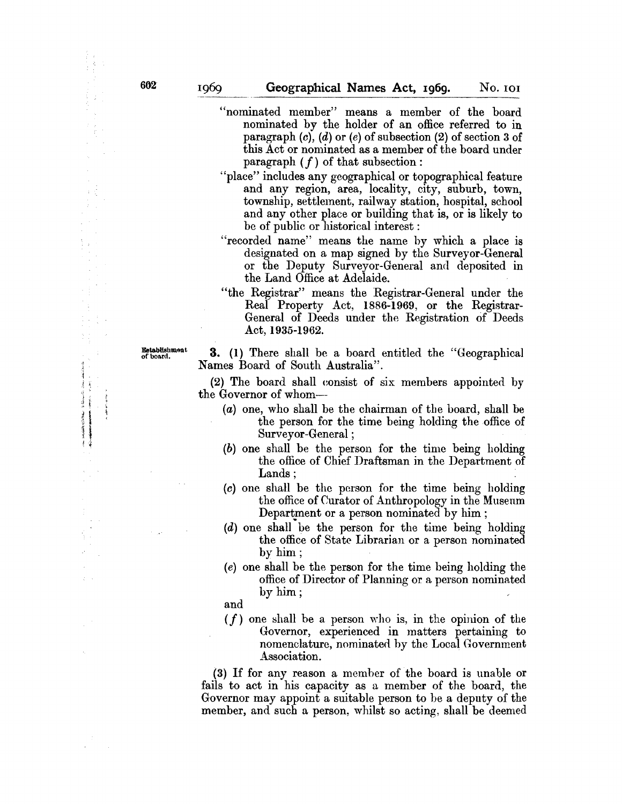- "nominated member" means a member of the board nominated by the holder of an office referred to in paragraph  $(c)$ ,  $(d)$  or  $(e)$  of subsection  $(2)$  of section 3 of this Act or nominated as a member of the board under paragraph  $(f)$  of that subsection:
- "place" includes any geographical or topographical feature and any region, area, locality, city, suburb, town, township, settlement, railway station, hospital, school and any other place or building that is, or is likely to be of public or historical interest :
- "recorded name" means the name hy which a place is designated on a map signed by the Surveyor-General or the Deputy Surveyor-General and deposited in the Land Office at Adelaide.
- "the Registrar" means the Registrar-General under the Real Property Act, 1886-1969, or the Registrar-General of Deeds under the Registration of Deeds Act, 1935-1962.

**Commercial Commercial** The Manager of the States

الم معامد<br>ال

Establishmont 3. (1) There shall be a board entitled the "Geographical Names Board of South Australia".

> (2) The board shall eonsist of six members appointed by the Governor of whom--

- $(a)$  one, who shall be the chairman of the board, shall be the person for the time being holding the office of Surveyor-General ;
- (b) one shall be the person for the time being holding the office of Chief Draftsman in the Department of Lands:
- (c) one shall be the person for the time being holding the office of Curator of Anthropology in the Museum Department or a person nominated by him;
- (d) one shall be the person for the time being holding the office of State Librarian or a person nominated by him;
- (e) one shall be the person for the time heing holding the office of Director of Planning or a person nominated by him;

and

 $(f)$  one shall be a person who is, in the opinion of the Governor, experienced in matters pertaining to nomenclature, nominated by the Local Government Association.

(3) If for any reason a memher of the board is unable or fails to act in his capacity as a member of the board, the Governor may appoint a suitable person to he a deputy of the member, and such a person, whilst so acting, shall be deemed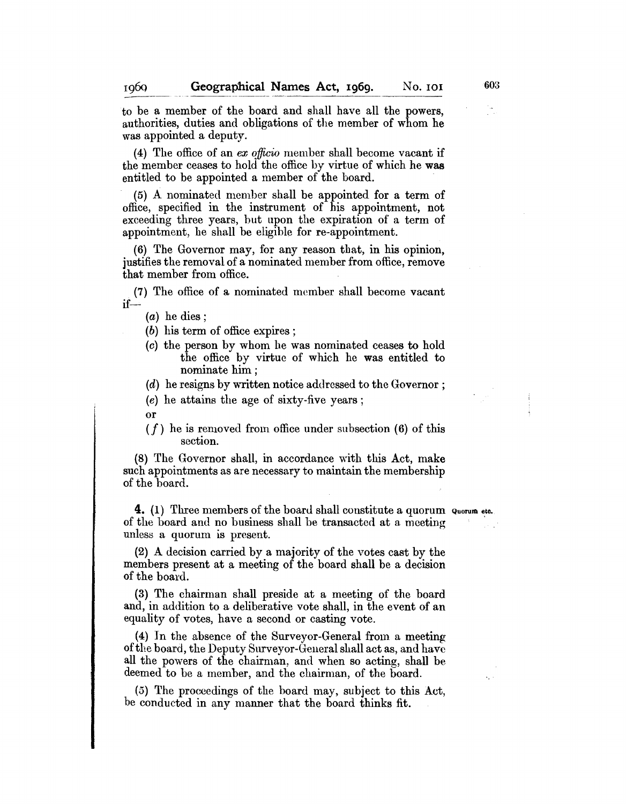to be a member of the board and shall have all the powers, authorities, duties and obligations of the member of whom he was appointed a deputy.

(4) The office of an *ex officio* member shall become vacant if the member ceases to hold the office by virtue of which he was entitled to be appointed a member of the board.

(5) A nominated member shall be appointed for a term of office, specified in the instrument of his appointment, not exceeding three years, but upon the expiration of a term of appointment, he shall be eligible for re-appointment.

(6) The Governor may, for any reason that, in his opinion, justifies the removal of a nominated member from office, remove that member from office. .

. (7) The office of a nominated member shall become vacant if--

(a) he dies;

(b) his term of office expires ;

(c) the person by whom he was nominated ceases to hold the office by virtue of which he was entitled to nominate him;

 $(d)$  he resigns by written notice addressed to the Governor;

(e) he attains the age of sixty-five years;

- or
- $(f)$  he is removed from office under subsection  $(6)$  of this section.

 $(8)$  The Governor shall, in accordance with this Act, make such appointments as are necessary to maintain the membership of the board.

**4.** (1) Three members of the board shall constitute a quorum Quorum etc. of the board and no business shall be transacted at a meeting unless a quorum is present.

(2) A decision carried by a majority of the votes cast by the members present at a meeting of the board shall be a decision of the board.

(3) The chairman shall preside at a meeting of the board and, in addition to a deliberative vote shall, in the event of an equality of votes, have a second or casting vote.

(4) In the absence of the Surveyor-General from a meeting of the board, the Deputy Surveyor-General shall act as, and have all the powers of the chairman, and when so acting, shall be deemed to be a member, and the chairman, of the board.

(5) The proceedings of the board may, subject to this Act, be conducted in any manner that the board thinks fit.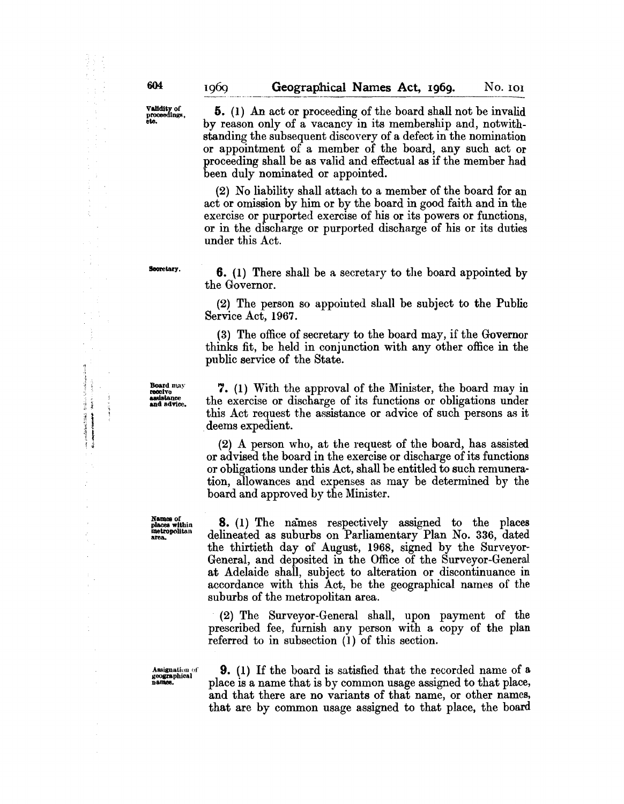Validity of<br>proceedings,<br>etc.

5. (1) An act or proceeding of the board shall not be invalid by reason only of a vacancy in its membership and, notwithstanding the subsequent discovery of a defect in the nomination or appointment of a member of the board, any such act or proceeding shall be as valid and effectual as if the member had been duly nominated or appointed.

(2) No liability shall attach to a member of the board for an act or omission by him or by the board in good faith and in the exercise or purported exercise of his or its powers or functions, or in the discharge or purported discharge of his or its duties under this Act.

Secretary.

6. (1) There shall be a secretary to the board appointed by the Governor.

(2) The person so appointed shall be subject to the Public Service Act, 1967.

(3) The office of secretary to the board may, if the Governor thinks fit, be held in conjunction with any other office in the public service of the State.

Board may<br>receive<br>assistance and advice.

n.· ~J j <sup>~</sup>," '1 . ' .. f ,~ Ĭ

 $\begin{array}{c} 1 \\ 1 \\ 2 \end{array}$  $\lambda_{\rm s}$  , and  $\lambda_{\rm s}$  $\mu$  and  $\mu$ 

7. (1) With the approval of the Minister, the board may in the exercise or discharge of its functions or obligations under this Act request the assistance or advice of such persons as it deems expedient.

(2) A person who, at the request of the board, has assisted or advised the board in the exercise or discharge of its functions or obligations under this Act, shall be entitled to such remuneration, allowances and expenses as may be determined by the board and approved by the Minister.

Names of<br>places within metropolitan area.

8. (1) The names respectively assigned to the places delineated as suburbs on Parliamentary Plan No. 336, dated the thirtieth day of August, 1968, signed by the Surveyor-General, and deposited in the Office of the Surveyor-General at Adelaide shall, subject to alteration or discontinuance in accordance with this Act, be the geographical names of the suburbs of the metropolitan area.

(2) The Surveyor-General shall, upon payment of the prescribed fee, furnish any person with a copy of the plan referred to in subsection (I) of this section.

Assignation of geographical

9. (1) If the board is satisfied that the recorded name of a place is a name that is by common usage assigned to that place, and that there are no variants of that name, or other names, that are by common usage assigned to that place, the board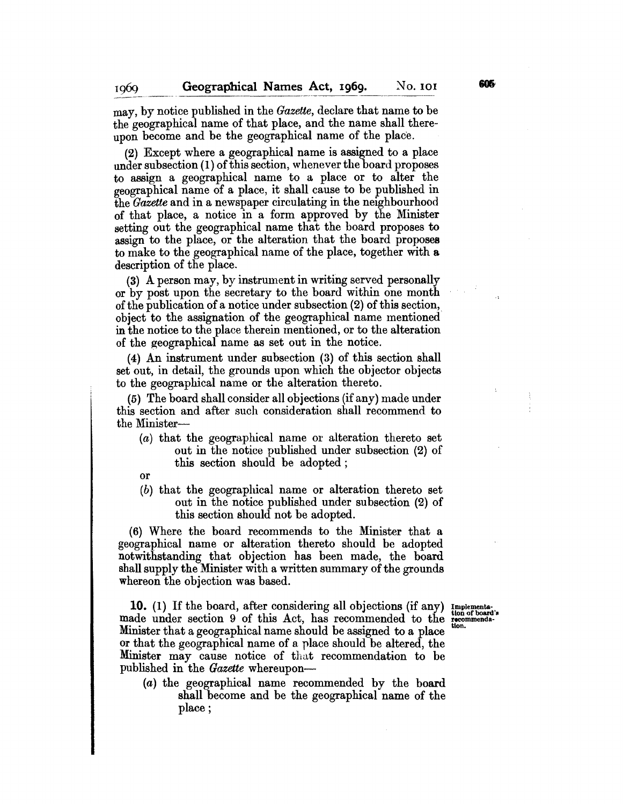may, by notice published in the *Gazette,* declare that name to be the geographical name of that place, and the name shall thereupon become and be the geographical name of the place.

(2) Except where a geographical name is assigned to a place under subsection (1) of this section, whenever the board proposes to assign a geographical name to a place or to alter the geographical name of a place, it shall cause to be published in the *Gazette* and in a newspaper circulating in the neighbourhood of that place, a notice in a form approved by the Minister setting out the geographical name that the board proposes to assign to the place, or the alteration that the board proposes to make to the geographical name of the place, together with a. description of the place.

(3) A person may, by instrument in writing served personally or by post upon the secretary to the board within one month of the publication of a notice under subsection (2) of this section,. object to the assignation of the geographical name mentioned in the notice to the place therein mentioned, or to the alteration of the geographical name as set out in the notice.

(4) An instrument under subsection (3) of this section shall set out, in detail, the grounds upon which the objector objects to the geographical name or the alteration thereto.

(5) The board shall consider all objections (if any) made under this section and after such consideration shall recommend to the Minister-

- (a) that the geographical name or alteration thereto set out in the notice published under subsection (2) of this section should be adopted;
- or

1060

(b) that the geographical name or alteration thereto set out in the notice published under subsection (2) of this section should not be adopted.

(6) Where the board recommends to the Minister that a geographical name or alteration thereto should be adopted notwithstanding that objection has been made, the board shall supply the Minister with a written summary of the grounds whereon the objection was based.

**10.** (1) If the board, after considering all objections (if any) Implementational made under section 9 of this Act, has recommended to the recommenda-Minister that a geographical name should be assigned to a place or that the geographical name of a place should be altered, the Minister may cause notice of that recommendation to be published in the *Gazette* whereupon-

(a) the geographical name recommended by the board shall become and be the geographical name of the place;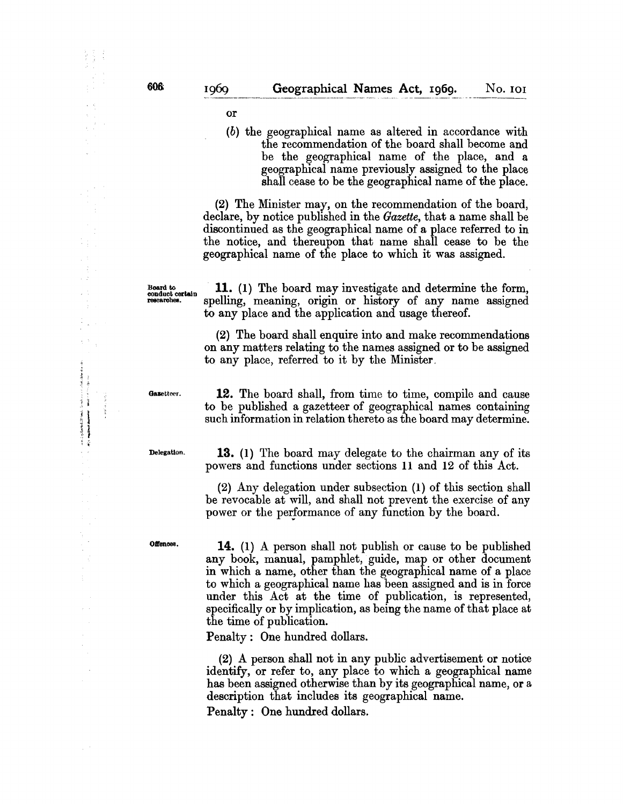or

(b) the geographical name as altered in accordance with the recommendation of the board shall become and be the geographical name of the place, and a geographical name previously assigned to the place shall cease to be the geographical name of the place.

(2) The Minister may, on the recommendation of the board, declare, by notice published in the *Gazette,* that a name shall be discontinued as the geographical name of a place referred to in the notice, and thereupon that name shall cease to be the geographical name of the place to which it was assigned.

Board to **11.** (1) The board may investigate and determine the form, researches. spelling, meaning, origin or history of any name assigned spelling, meaning, origin or history of any name assigned to any place and the application and usage thereof.

> (2) The board shall enquire into and make recommendations on any matters relating to the names assigned or to be assigned to any place, referred to it by the Minister,

Gazetteer.

 $\hat{\mathcal{A}}$ 

14、14、15、15、15、15、1

 $\label{eq:reduced} \begin{split} \mathcal{L}_{\mathcal{A}}(\mathcal{A}) &\leq \eta_1 \mathcal{M}_0 \mathcal{M}_0 \mathcal{M}_0 \mathcal{M}_0, \\ \mathcal{H}_{\mathcal{A}}(\mathcal{A}) &\leq \eta_2 \mathcal{M}_0 \mathcal{M}_0 \mathcal{M}_0 \mathcal{M}_0, \\ \mathcal{H}_{\mathcal{A}}(\mathcal{A}) &\leq \eta_2 \mathcal{M}_0 \mathcal{M}_0 \mathcal{M}_0 \mathcal{M}_0, \\ \mathcal{H}_{\mathcal{A}}(\mathcal{A}) &\leq \eta_2 \mathcal{M}_0 \mathcal{M}_$ 

 $\ddot{\phantom{a}}$ 

 $\label{eq:2.1} \mathcal{L} = \left\{ \begin{aligned} \mathcal{L} \left( \mathcal{L} \right) & = \left\{ \begin{aligned} \mathcal{L} \left( \mathcal{L} \right) & = \mathcal{L} \left( \mathcal{L} \right) \mathcal{L} \left( \mathcal{L} \right) \right\} \end{aligned} \right. \end{aligned}$  $\frac{1}{2}$ 

12. The board shall, from time to time, compile and cause to be published a gazetteer of geographical names containing such information in relation thereto as the board may determine.

Delegation.

13. (1) The board may delegate to the chairman any of its powers and functions under sections 11 and 12 of this Act.

(2) Any delegation under subsection (1) of this section shall be revocable at will, and shall not prevent the exercise of any power or the performance of any function by the board.

Offences.

14. (1) A person shall not publish or cause to be published any book, manual, pamphlet, guide, map or other document in which a name, other than the geographical name of a place to which a geographical name has been assigned and is in force under this Act at the time of publication, is represented, specifically or by implication, as being the name of that place at the time of publication.

Penalty: One hundred dollars.

(2) A person shall not in any pub1ic advertisement or notice identify, or refer to, any place to which a geographical name has been assigned otherwise than by its geographical name, or a description that includes its geographical name.

Penalty: One hundred dollars.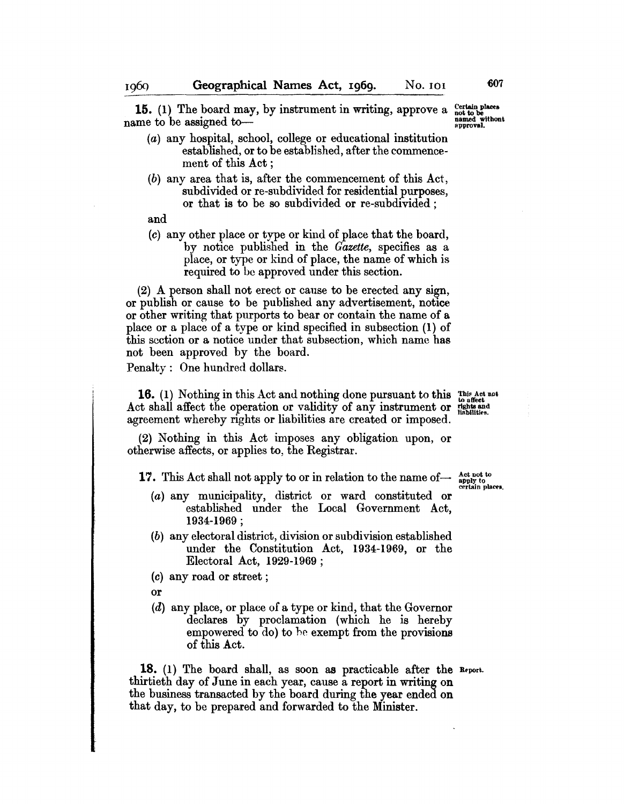15. (1) The board may, by instrument in writing, approve a name to be assigned to-

- (a) any hospital, school, college or educational institution established, or to be established, after the commencement of this Act;
- (b) any area that is, after the commencement of this Act, subdivided or re-subdivided for residential purposes, or that is to be so subdivided or re-subdivided;
- and
- (c) any other place or type or kind of place that the board, by notice published in the *Gazette,* specifies as a place, or type or kind of place, the name of which is required to be approved under this section.

(2) A person shall not erect or cause to be erected any sign, or publish or cause to be published any advertisement, notice or other writing that purports to bear or contain the name of a place or a place of a type or kind specified in subsection (1) of this section or a notice under that subsection, which name has not been approved by the board.

Penalty: One hundred dollars.

**16.** (1) Nothing in this Act and nothing done pursuant to this  $\lim_{\theta \to 0}$  affect Act shall affect the operation or validity of any instrument or fights and agreement whereby rights or liabilities are created or imposed.

(2) Nothing in this Act imposes any obligation upon, or otherwise affects, or applies to, the Registrar.

17. This Act shall not apply to or in relation to the name of-

- (a) any municipality, district. or ward constituted or established under the Local Government Act, 1934-1969 ;
- (b) any electoral district, division or subdivision established under the Constitution Act, 1934-1969, or the Electoral Act, 1929-1969;
- (c) any road or street;
- or
- (d) any place, or place of a type or kind, that the Governor declares by proclamation (which he is hereby empowered to do) to he exempt from the provisions of this Act.

18. (1) The board shall, as soon as practicable after the Report. thirtieth day of June in each year, cause a report in writing on the business transacted by the board during the year ended on that day, to be prepared and forwarded to the Minister.

Act not to apply to<br>certain places.

Certain places<br>not to be<br>named withont<br>approval.